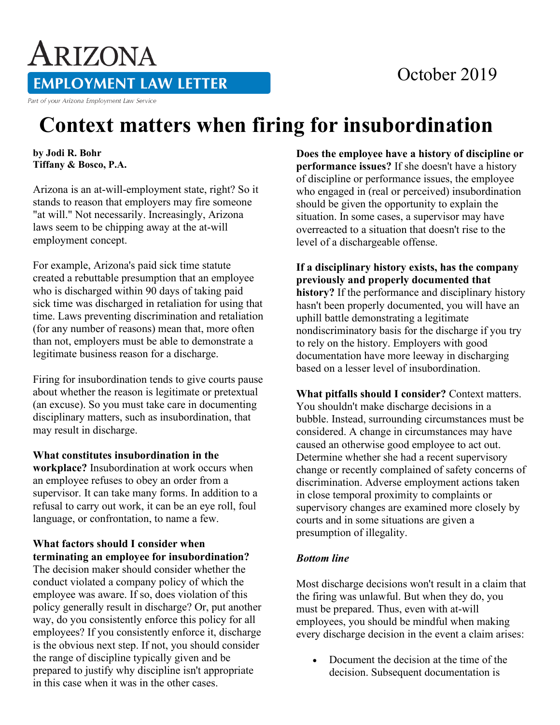# October 2019

**EMPLOYMENT LAW LETTER** 

Part of your Arizona Employment Law Service

ARIZONA

# **Context matters when firing for insubordination**

#### **by Jodi R. Bohr Tiffany & Bosco, P.A.**

Arizona is an at-will-employment state, right? So it stands to reason that employers may fire someone "at will." Not necessarily. Increasingly, Arizona laws seem to be chipping away at the at-will employment concept.

For example, Arizona's paid sick time statute created a rebuttable presumption that an employee who is discharged within 90 days of taking paid sick time was discharged in retaliation for using that time. Laws preventing discrimination and retaliation (for any number of reasons) mean that, more often than not, employers must be able to demonstrate a legitimate business reason for a discharge.

Firing for insubordination tends to give courts pause about whether the reason is legitimate or pretextual (an excuse). So you must take care in documenting disciplinary matters, such as insubordination, that may result in discharge.

#### **What constitutes insubordination in the**

**workplace?** Insubordination at work occurs when an employee refuses to obey an order from a supervisor. It can take many forms. In addition to a refusal to carry out work, it can be an eye roll, foul language, or confrontation, to name a few.

## **What factors should I consider when terminating an employee for insubordination?**

The decision maker should consider whether the conduct violated a company policy of which the employee was aware. If so, does violation of this policy generally result in discharge? Or, put another way, do you consistently enforce this policy for all employees? If you consistently enforce it, discharge is the obvious next step. If not, you should consider the range of discipline typically given and be prepared to justify why discipline isn't appropriate in this case when it was in the other cases.

**Does the employee have a history of discipline or performance issues?** If she doesn't have a history of discipline or performance issues, the employee who engaged in (real or perceived) insubordination should be given the opportunity to explain the situation. In some cases, a supervisor may have overreacted to a situation that doesn't rise to the level of a dischargeable offense.

**If a disciplinary history exists, has the company previously and properly documented that history?** If the performance and disciplinary history hasn't been properly documented, you will have an uphill battle demonstrating a legitimate nondiscriminatory basis for the discharge if you try to rely on the history. Employers with good documentation have more leeway in discharging based on a lesser level of insubordination.

**What pitfalls should I consider?** Context matters. You shouldn't make discharge decisions in a bubble. Instead, surrounding circumstances must be considered. A change in circumstances may have caused an otherwise good employee to act out. Determine whether she had a recent supervisory change or recently complained of safety concerns of discrimination. Adverse employment actions taken in close temporal proximity to complaints or supervisory changes are examined more closely by courts and in some situations are given a presumption of illegality.

## *Bottom line*

Most discharge decisions won't result in a claim that the firing was unlawful. But when they do, you must be prepared. Thus, even with at-will employees, you should be mindful when making every discharge decision in the event a claim arises:

• Document the decision at the time of the decision. Subsequent documentation is